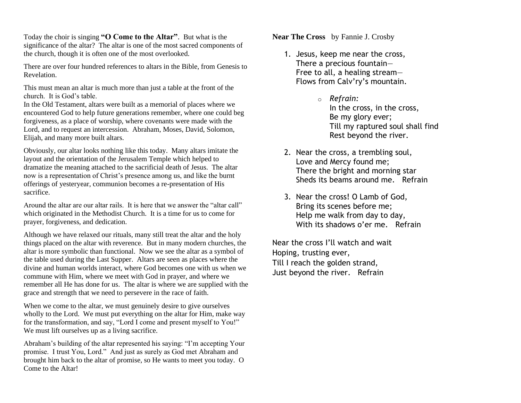Today the choir is singing **"O Come to the Altar"**. But what is the significance of the altar? The altar is one of the most sacred components of the church, though it is often one of the most overlooked.

There are over four hundred references to altars in the Bible, from Genesis to Revelation.

This must mean an altar is much more than just a table at the front of the church. It is God's table.

In the Old Testament, altars were built as a memorial of places where we encountered God to help future generations remember, where one could beg forgiveness, as a place of worship, where covenants were made with the Lord, and to request an intercession. Abraham, Moses, David, Solomon, Elijah, and many more built altars.

Obviously, our altar looks nothing like this today. Many altars imitate the layout and the orientation of the Jerusalem Temple which helped to dramatize the meaning attached to the sacrificial death of Jesus. The altar now is a representation of Christ's presence among us, and like the burnt offerings of yesteryear, communion becomes a re-presentation of His sacrifice.

Around the altar are our altar rails. It is here that we answer the "altar call" which originated in the Methodist Church. It is a time for us to come for prayer, forgiveness, and dedication.

Although we have relaxed our rituals, many still treat the altar and the holy things placed on the altar with reverence. But in many modern churches, the altar is more symbolic than functional. Now we see the altar as a symbol of the table used during the Last Supper. Altars are seen as places where the divine and human worlds interact, where God becomes one with us when we commune with Him, where we meet with God in prayer, and where we remember all He has done for us. The altar is where we are supplied with the grace and strength that we need to persevere in the race of faith.

When we come to the altar, we must genuinely desire to give ourselves wholly to the Lord. We must put everything on the altar for Him, make way for the transformation, and say, "Lord I come and present myself to You!" We must lift ourselves up as a living sacrifice.

Abraham's building of the altar represented his saying: "I'm accepting Your promise. I trust You, Lord." And just as surely as God met Abraham and brought him back to the altar of promise, so He wants to meet you today. O Come to the Altar!

**Near The Cross** by Fannie J. Crosby

- 1. Jesus, keep me near the cross, There a precious fountain— Free to all, a healing stream— Flows from Calv'ry's mountain.
	- o *Refrain:* In the cross, in the cross, Be my glory ever; Till my raptured soul shall find Rest beyond the river.
- 2. Near the cross, a trembling soul, Love and Mercy found me; There the bright and morning star Sheds its beams around me. Refrain
- 3. Near the cross! O Lamb of God, Bring its scenes before me; Help me walk from day to day, With its shadows o'er me. Refrain

Near the cross I'll watch and wait Hoping, trusting ever, Till I reach the golden strand, Just beyond the river. Refrain